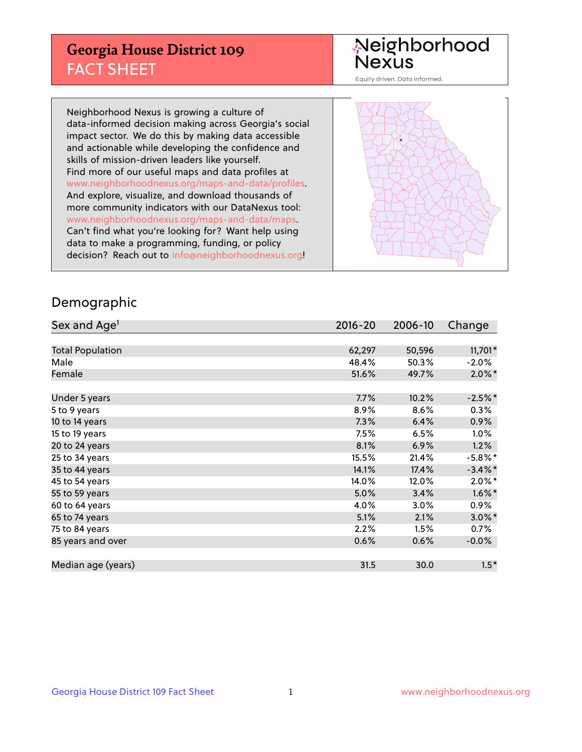## **Georgia House District 109** FACT SHEET

# Neighborhood<br>Nexus

Equity driven. Data informed.

Neighborhood Nexus is growing a culture of data-informed decision making across Georgia's social impact sector. We do this by making data accessible and actionable while developing the confidence and skills of mission-driven leaders like yourself. Find more of our useful maps and data profiles at www.neighborhoodnexus.org/maps-and-data/profiles. And explore, visualize, and download thousands of more community indicators with our DataNexus tool: www.neighborhoodnexus.org/maps-and-data/maps. Can't find what you're looking for? Want help using data to make a programming, funding, or policy decision? Reach out to [info@neighborhoodnexus.org!](mailto:info@neighborhoodnexus.org)



### Demographic

| Sex and Age <sup>1</sup> | $2016 - 20$ | 2006-10 | Change     |
|--------------------------|-------------|---------|------------|
|                          |             |         |            |
| <b>Total Population</b>  | 62,297      | 50,596  | $11,701*$  |
| Male                     | 48.4%       | 50.3%   | $-2.0\%$   |
| Female                   | 51.6%       | 49.7%   | $2.0\%$ *  |
|                          |             |         |            |
| Under 5 years            | 7.7%        | 10.2%   | $-2.5%$ *  |
| 5 to 9 years             | 8.9%        | 8.6%    | $0.3\%$    |
| 10 to 14 years           | 7.3%        | 6.4%    | 0.9%       |
| 15 to 19 years           | 7.5%        | 6.5%    | 1.0%       |
| 20 to 24 years           | 8.1%        | 6.9%    | 1.2%       |
| 25 to 34 years           | 15.5%       | 21.4%   | $-5.8\%$ * |
| 35 to 44 years           | 14.1%       | 17.4%   | $-3.4\%$ * |
| 45 to 54 years           | 14.0%       | 12.0%   | $2.0\%$ *  |
| 55 to 59 years           | 5.0%        | 3.4%    | $1.6\%$ *  |
| 60 to 64 years           | 4.0%        | 3.0%    | $0.9\%$    |
| 65 to 74 years           | 5.1%        | 2.1%    | $3.0\%$ *  |
| 75 to 84 years           | 2.2%        | 1.5%    | 0.7%       |
| 85 years and over        | 0.6%        | 0.6%    | $-0.0%$    |
|                          |             |         |            |
| Median age (years)       | 31.5        | 30.0    | $1.5*$     |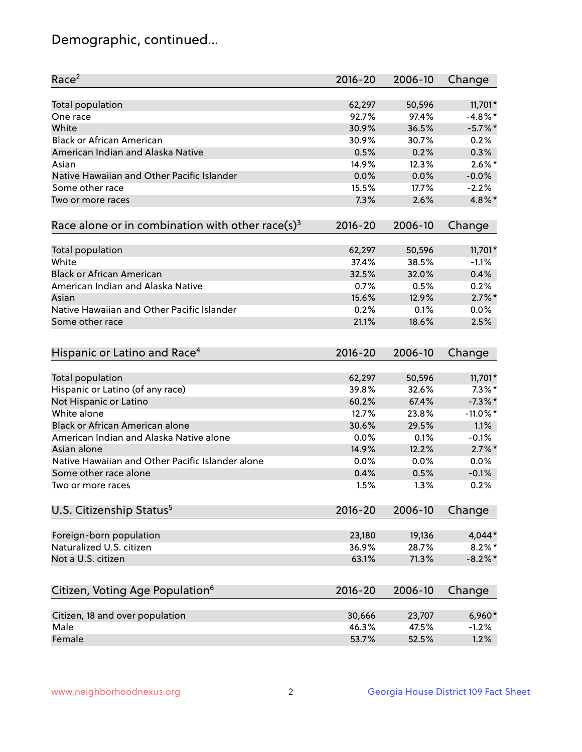## Demographic, continued...

| Race <sup>2</sup>                                            | $2016 - 20$ | 2006-10 | Change      |
|--------------------------------------------------------------|-------------|---------|-------------|
| Total population                                             | 62,297      | 50,596  | 11,701*     |
| One race                                                     | 92.7%       | 97.4%   | $-4.8\%$ *  |
| White                                                        | 30.9%       | 36.5%   | $-5.7\%$ *  |
| <b>Black or African American</b>                             | 30.9%       | 30.7%   | 0.2%        |
| American Indian and Alaska Native                            | 0.5%        | 0.2%    | 0.3%        |
| Asian                                                        | 14.9%       | 12.3%   | $2.6\%$ *   |
| Native Hawaiian and Other Pacific Islander                   | 0.0%        | 0.0%    | $-0.0%$     |
| Some other race                                              | 15.5%       | 17.7%   | $-2.2%$     |
| Two or more races                                            | 7.3%        | 2.6%    | 4.8%*       |
| Race alone or in combination with other race(s) <sup>3</sup> | $2016 - 20$ | 2006-10 | Change      |
|                                                              |             |         |             |
| Total population                                             | 62,297      | 50,596  | $11,701*$   |
| White                                                        | 37.4%       | 38.5%   | $-1.1%$     |
| <b>Black or African American</b>                             | 32.5%       | 32.0%   | 0.4%        |
| American Indian and Alaska Native                            | 0.7%        | 0.5%    | 0.2%        |
| Asian                                                        | 15.6%       | 12.9%   | $2.7\%$ *   |
| Native Hawaiian and Other Pacific Islander                   | 0.2%        | 0.1%    | 0.0%        |
| Some other race                                              | 21.1%       | 18.6%   | 2.5%        |
|                                                              |             |         |             |
| Hispanic or Latino and Race <sup>4</sup>                     | $2016 - 20$ | 2006-10 | Change      |
| Total population                                             | 62,297      | 50,596  | 11,701*     |
| Hispanic or Latino (of any race)                             | 39.8%       | 32.6%   | $7.3\%$ *   |
| Not Hispanic or Latino                                       | 60.2%       | 67.4%   | $-7.3\%$ *  |
| White alone                                                  | 12.7%       | 23.8%   | $-11.0\%$ * |
| Black or African American alone                              | 30.6%       | 29.5%   | 1.1%        |
| American Indian and Alaska Native alone                      | 0.0%        | 0.1%    | $-0.1%$     |
| Asian alone                                                  | 14.9%       | 12.2%   | $2.7\%$ *   |
| Native Hawaiian and Other Pacific Islander alone             | 0.0%        | 0.0%    | 0.0%        |
| Some other race alone                                        | 0.4%        | 0.5%    | $-0.1%$     |
| Two or more races                                            | 1.5%        | 1.3%    | 0.2%        |
|                                                              |             |         |             |
| U.S. Citizenship Status <sup>5</sup>                         | $2016 - 20$ | 2006-10 | Change      |
| Foreign-born population                                      | 23,180      | 19,136  | 4,044*      |
| Naturalized U.S. citizen                                     | 36.9%       | 28.7%   | $8.2\%$ *   |
| Not a U.S. citizen                                           | 63.1%       | 71.3%   | $-8.2\%$ *  |
|                                                              |             |         |             |
| Citizen, Voting Age Population <sup>6</sup>                  | $2016 - 20$ | 2006-10 | Change      |
| Citizen, 18 and over population                              | 30,666      | 23,707  | 6,960*      |
| Male                                                         | 46.3%       | 47.5%   | $-1.2%$     |
| Female                                                       | 53.7%       | 52.5%   | 1.2%        |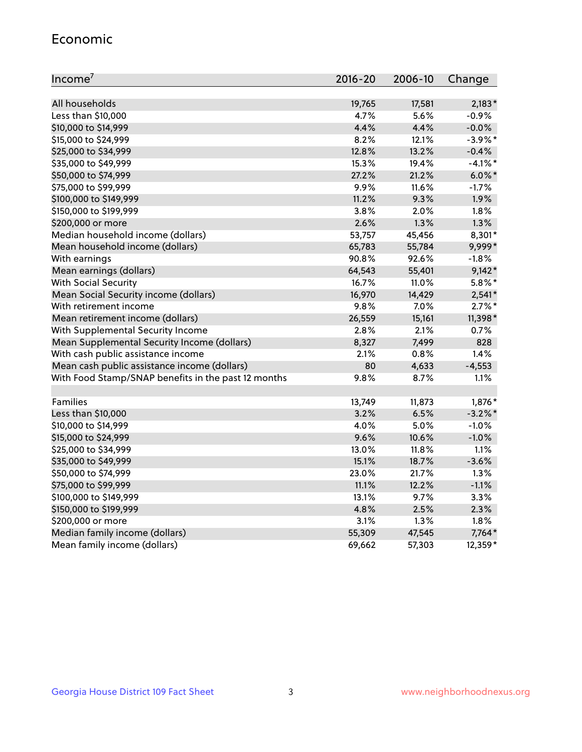#### Economic

| Income <sup>7</sup>                                 | $2016 - 20$ | 2006-10 | Change     |
|-----------------------------------------------------|-------------|---------|------------|
|                                                     |             |         |            |
| All households                                      | 19,765      | 17,581  | $2,183*$   |
| Less than \$10,000                                  | 4.7%        | 5.6%    | $-0.9%$    |
| \$10,000 to \$14,999                                | 4.4%        | 4.4%    | $-0.0%$    |
| \$15,000 to \$24,999                                | 8.2%        | 12.1%   | $-3.9\%$ * |
| \$25,000 to \$34,999                                | 12.8%       | 13.2%   | $-0.4%$    |
| \$35,000 to \$49,999                                | 15.3%       | 19.4%   | $-4.1%$ *  |
| \$50,000 to \$74,999                                | 27.2%       | 21.2%   | $6.0\%$ *  |
| \$75,000 to \$99,999                                | 9.9%        | 11.6%   | $-1.7%$    |
| \$100,000 to \$149,999                              | 11.2%       | 9.3%    | 1.9%       |
| \$150,000 to \$199,999                              | 3.8%        | 2.0%    | 1.8%       |
| \$200,000 or more                                   | 2.6%        | 1.3%    | 1.3%       |
| Median household income (dollars)                   | 53,757      | 45,456  | 8,301*     |
| Mean household income (dollars)                     | 65,783      | 55,784  | 9,999*     |
| With earnings                                       | 90.8%       | 92.6%   | $-1.8%$    |
| Mean earnings (dollars)                             | 64,543      | 55,401  | $9,142*$   |
| <b>With Social Security</b>                         | 16.7%       | 11.0%   | $5.8\%$ *  |
| Mean Social Security income (dollars)               | 16,970      | 14,429  | $2,541*$   |
| With retirement income                              | 9.8%        | 7.0%    | $2.7\%$ *  |
| Mean retirement income (dollars)                    | 26,559      | 15,161  | 11,398*    |
| With Supplemental Security Income                   | 2.8%        | 2.1%    | 0.7%       |
| Mean Supplemental Security Income (dollars)         | 8,327       | 7,499   | 828        |
| With cash public assistance income                  | 2.1%        | 0.8%    | 1.4%       |
| Mean cash public assistance income (dollars)        | 80          | 4,633   | $-4,553$   |
| With Food Stamp/SNAP benefits in the past 12 months | 9.8%        | 8.7%    | 1.1%       |
|                                                     |             |         |            |
| Families                                            | 13,749      | 11,873  | 1,876*     |
| Less than \$10,000                                  | 3.2%        | 6.5%    | $-3.2\%$ * |
| \$10,000 to \$14,999                                | 4.0%        | 5.0%    | $-1.0%$    |
| \$15,000 to \$24,999                                | 9.6%        | 10.6%   | $-1.0%$    |
| \$25,000 to \$34,999                                | 13.0%       | 11.8%   | 1.1%       |
| \$35,000 to \$49,999                                | 15.1%       | 18.7%   | $-3.6%$    |
| \$50,000 to \$74,999                                | 23.0%       | 21.7%   | 1.3%       |
| \$75,000 to \$99,999                                | 11.1%       | 12.2%   | $-1.1%$    |
| \$100,000 to \$149,999                              | 13.1%       | 9.7%    | 3.3%       |
| \$150,000 to \$199,999                              | 4.8%        | 2.5%    | 2.3%       |
| \$200,000 or more                                   | 3.1%        | 1.3%    | 1.8%       |
| Median family income (dollars)                      | 55,309      | 47,545  | 7,764*     |
| Mean family income (dollars)                        | 69,662      | 57,303  | 12,359*    |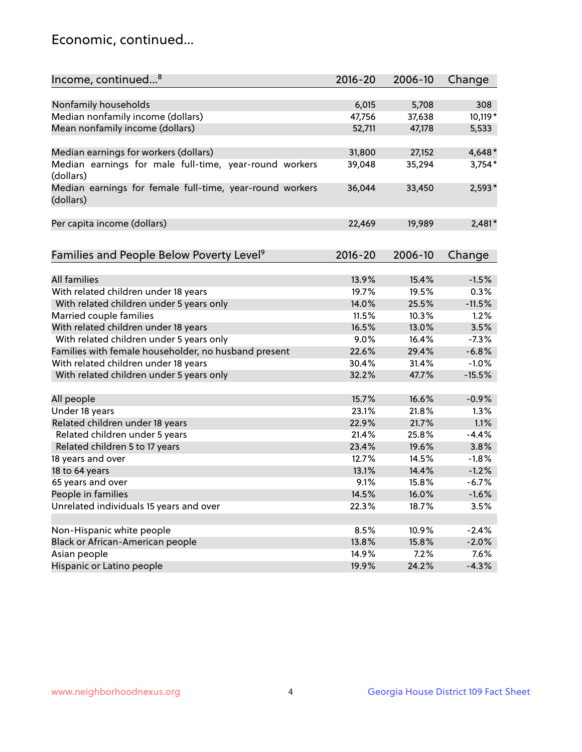## Economic, continued...

| Income, continued <sup>8</sup>                                        | $2016 - 20$ | 2006-10 | Change   |
|-----------------------------------------------------------------------|-------------|---------|----------|
|                                                                       |             |         |          |
| Nonfamily households                                                  | 6,015       | 5,708   | 308      |
| Median nonfamily income (dollars)                                     | 47,756      | 37,638  | 10,119*  |
| Mean nonfamily income (dollars)                                       | 52,711      | 47,178  | 5,533    |
| Median earnings for workers (dollars)                                 | 31,800      | 27,152  | $4,648*$ |
| Median earnings for male full-time, year-round workers                | 39,048      | 35,294  | $3,754*$ |
| (dollars)                                                             |             |         |          |
| Median earnings for female full-time, year-round workers<br>(dollars) | 36,044      | 33,450  | $2,593*$ |
| Per capita income (dollars)                                           | 22,469      | 19,989  | $2,481*$ |
|                                                                       |             |         |          |
| Families and People Below Poverty Level <sup>9</sup>                  | $2016 - 20$ | 2006-10 | Change   |
|                                                                       |             |         |          |
| <b>All families</b>                                                   | 13.9%       | 15.4%   | $-1.5%$  |
| With related children under 18 years                                  | 19.7%       | 19.5%   | 0.3%     |
| With related children under 5 years only                              | 14.0%       | 25.5%   | $-11.5%$ |
| Married couple families                                               | 11.5%       | 10.3%   | 1.2%     |
| With related children under 18 years                                  | 16.5%       | 13.0%   | 3.5%     |
| With related children under 5 years only                              | 9.0%        | 16.4%   | $-7.3%$  |
| Families with female householder, no husband present                  | 22.6%       | 29.4%   | $-6.8%$  |
| With related children under 18 years                                  | 30.4%       | 31.4%   | $-1.0%$  |
| With related children under 5 years only                              | 32.2%       | 47.7%   | $-15.5%$ |
| All people                                                            | 15.7%       | 16.6%   | $-0.9%$  |
| Under 18 years                                                        | 23.1%       | 21.8%   | 1.3%     |
| Related children under 18 years                                       | 22.9%       | 21.7%   | 1.1%     |
| Related children under 5 years                                        | 21.4%       | 25.8%   | $-4.4%$  |
| Related children 5 to 17 years                                        | 23.4%       | 19.6%   | 3.8%     |
| 18 years and over                                                     | 12.7%       | 14.5%   | $-1.8%$  |
| 18 to 64 years                                                        | 13.1%       | 14.4%   | $-1.2%$  |
| 65 years and over                                                     | 9.1%        | 15.8%   | $-6.7%$  |
| People in families                                                    | 14.5%       | 16.0%   | $-1.6%$  |
| Unrelated individuals 15 years and over                               | 22.3%       | 18.7%   | 3.5%     |
|                                                                       |             |         |          |
| Non-Hispanic white people                                             | 8.5%        | 10.9%   | $-2.4%$  |
| Black or African-American people                                      | 13.8%       | 15.8%   | $-2.0%$  |
| Asian people                                                          | 14.9%       | 7.2%    | 7.6%     |
| Hispanic or Latino people                                             | 19.9%       | 24.2%   | $-4.3%$  |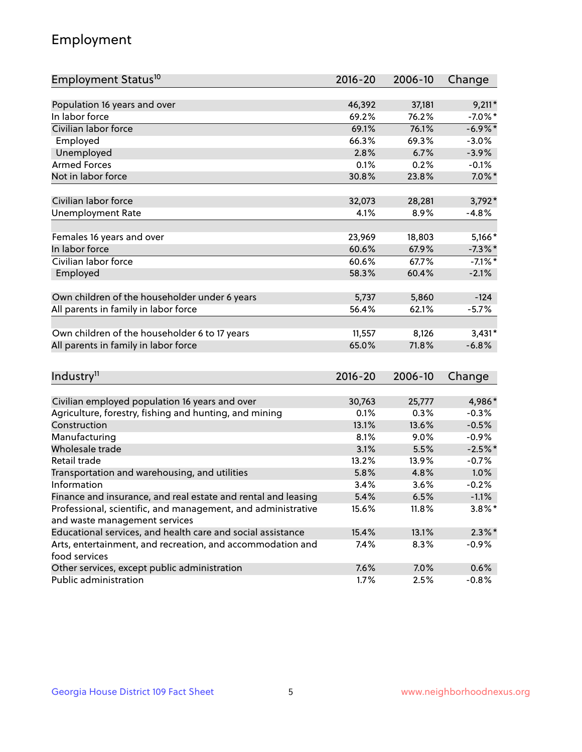## Employment

| Employment Status <sup>10</sup>                                             | $2016 - 20$ | 2006-10 | Change     |
|-----------------------------------------------------------------------------|-------------|---------|------------|
|                                                                             | 46,392      |         |            |
| Population 16 years and over<br>In labor force                              |             | 37,181  | $9,211*$   |
| Civilian labor force                                                        | 69.2%       | 76.2%   | $-7.0\%$ * |
|                                                                             | 69.1%       | 76.1%   | $-6.9\%$ * |
| Employed                                                                    | 66.3%       | 69.3%   | $-3.0%$    |
| Unemployed                                                                  | 2.8%        | 6.7%    | $-3.9%$    |
| <b>Armed Forces</b>                                                         | 0.1%        | 0.2%    | $-0.1%$    |
| Not in labor force                                                          | 30.8%       | 23.8%   | $7.0\%$ *  |
| Civilian labor force                                                        | 32,073      | 28,281  | $3,792*$   |
| <b>Unemployment Rate</b>                                                    | 4.1%        | 8.9%    | $-4.8%$    |
|                                                                             |             |         |            |
| Females 16 years and over                                                   | 23,969      | 18,803  | $5,166*$   |
| In labor force                                                              | 60.6%       | 67.9%   | $-7.3\%$ * |
| Civilian labor force                                                        | 60.6%       | 67.7%   | $-7.1\%$ * |
| Employed                                                                    | 58.3%       | 60.4%   | $-2.1%$    |
|                                                                             |             |         |            |
| Own children of the householder under 6 years                               | 5,737       | 5,860   | $-124$     |
| All parents in family in labor force                                        | 56.4%       | 62.1%   | $-5.7%$    |
| Own children of the householder 6 to 17 years                               | 11,557      | 8,126   | $3,431*$   |
| All parents in family in labor force                                        | 65.0%       | 71.8%   | $-6.8%$    |
|                                                                             |             |         |            |
| Industry <sup>11</sup>                                                      | $2016 - 20$ | 2006-10 | Change     |
|                                                                             |             |         |            |
| Civilian employed population 16 years and over                              | 30,763      | 25,777  | 4,986*     |
| Agriculture, forestry, fishing and hunting, and mining                      | 0.1%        | 0.3%    | $-0.3%$    |
| Construction                                                                | 13.1%       | 13.6%   | $-0.5%$    |
| Manufacturing                                                               | 8.1%        | 9.0%    | $-0.9%$    |
| Wholesale trade                                                             | 3.1%        | 5.5%    | $-2.5%$ *  |
| Retail trade                                                                | 13.2%       | 13.9%   | $-0.7%$    |
| Transportation and warehousing, and utilities                               | 5.8%        | 4.8%    | 1.0%       |
| Information                                                                 | 3.4%        | 3.6%    | $-0.2%$    |
| Finance and insurance, and real estate and rental and leasing               | 5.4%        | 6.5%    | $-1.1%$    |
| Professional, scientific, and management, and administrative                | 15.6%       | 11.8%   | $3.8\%$ *  |
| and waste management services                                               |             |         |            |
| Educational services, and health care and social assistance                 | 15.4%       | 13.1%   | $2.3\%$ *  |
| Arts, entertainment, and recreation, and accommodation and<br>food services | 7.4%        | 8.3%    | $-0.9%$    |
| Other services, except public administration                                | 7.6%        | 7.0%    | 0.6%       |
| Public administration                                                       | 1.7%        | 2.5%    | $-0.8%$    |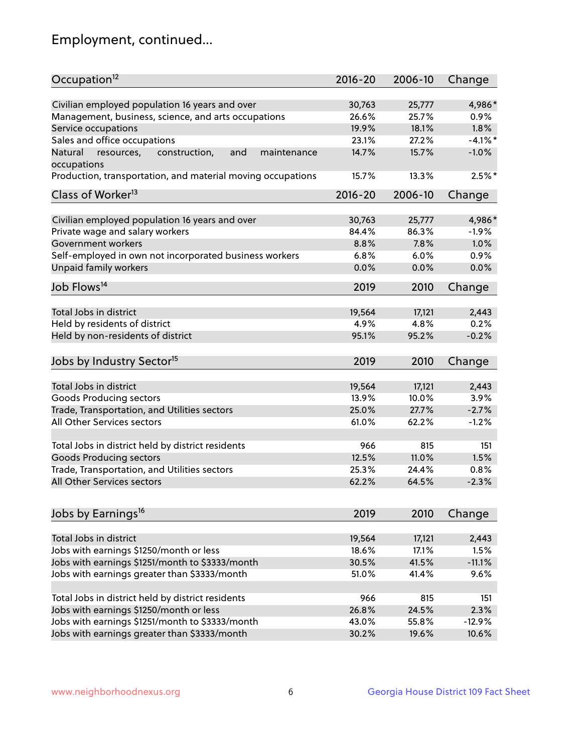## Employment, continued...

| Occupation <sup>12</sup>                                     | $2016 - 20$ | 2006-10 | Change    |
|--------------------------------------------------------------|-------------|---------|-----------|
| Civilian employed population 16 years and over               | 30,763      | 25,777  | 4,986*    |
| Management, business, science, and arts occupations          | 26.6%       | 25.7%   | 0.9%      |
| Service occupations                                          | 19.9%       | 18.1%   | 1.8%      |
| Sales and office occupations                                 | 23.1%       | 27.2%   | $-4.1%$   |
| and<br>Natural<br>resources,<br>construction,<br>maintenance | 14.7%       | 15.7%   | $-1.0%$   |
| occupations                                                  |             |         |           |
| Production, transportation, and material moving occupations  | 15.7%       | 13.3%   | $2.5\%$ * |
| Class of Worker <sup>13</sup>                                | $2016 - 20$ | 2006-10 | Change    |
|                                                              |             |         |           |
| Civilian employed population 16 years and over               | 30,763      | 25,777  | 4,986*    |
| Private wage and salary workers                              | 84.4%       | 86.3%   | $-1.9%$   |
| Government workers                                           | 8.8%        | 7.8%    | 1.0%      |
| Self-employed in own not incorporated business workers       | 6.8%        | 6.0%    | 0.9%      |
| Unpaid family workers                                        | 0.0%        | 0.0%    | 0.0%      |
| Job Flows <sup>14</sup>                                      | 2019        | 2010    | Change    |
|                                                              |             |         |           |
| Total Jobs in district                                       | 19,564      | 17,121  | 2,443     |
| Held by residents of district                                | 4.9%        | 4.8%    | 0.2%      |
| Held by non-residents of district                            | 95.1%       | 95.2%   | $-0.2%$   |
| Jobs by Industry Sector <sup>15</sup>                        | 2019        | 2010    | Change    |
| Total Jobs in district                                       | 19,564      | 17,121  | 2,443     |
| Goods Producing sectors                                      | 13.9%       | 10.0%   | 3.9%      |
|                                                              | 25.0%       | 27.7%   | $-2.7%$   |
| Trade, Transportation, and Utilities sectors                 |             |         |           |
| All Other Services sectors                                   | 61.0%       | 62.2%   | $-1.2%$   |
| Total Jobs in district held by district residents            | 966         | 815     | 151       |
| <b>Goods Producing sectors</b>                               | 12.5%       | 11.0%   | 1.5%      |
| Trade, Transportation, and Utilities sectors                 | 25.3%       | 24.4%   | 0.8%      |
| All Other Services sectors                                   | 62.2%       | 64.5%   | $-2.3%$   |
|                                                              |             |         |           |
| Jobs by Earnings <sup>16</sup>                               | 2019        | 2010    | Change    |
| Total Jobs in district                                       | 19,564      | 17,121  | 2,443     |
|                                                              | 18.6%       | 17.1%   | 1.5%      |
| Jobs with earnings \$1250/month or less                      |             |         |           |
| Jobs with earnings \$1251/month to \$3333/month              | 30.5%       | 41.5%   | $-11.1%$  |
| Jobs with earnings greater than \$3333/month                 | 51.0%       | 41.4%   | 9.6%      |
| Total Jobs in district held by district residents            | 966         | 815     | 151       |
| Jobs with earnings \$1250/month or less                      | 26.8%       | 24.5%   | 2.3%      |
| Jobs with earnings \$1251/month to \$3333/month              | 43.0%       | 55.8%   | $-12.9%$  |
| Jobs with earnings greater than \$3333/month                 | 30.2%       | 19.6%   | 10.6%     |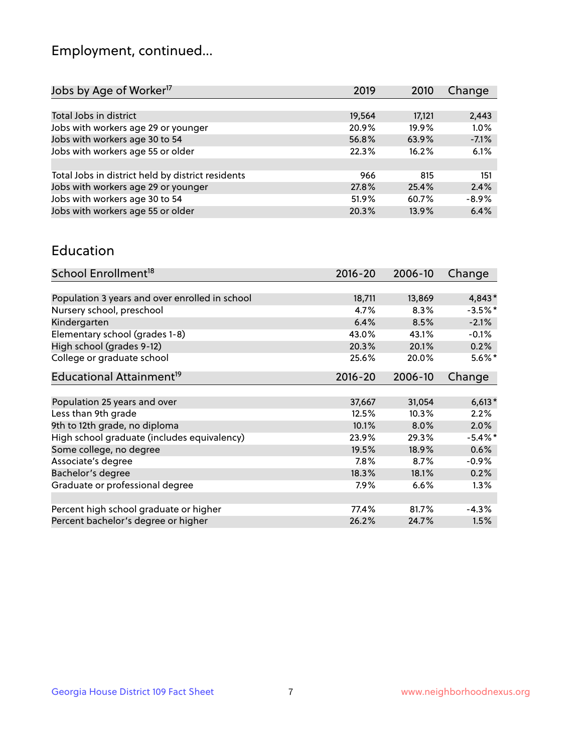## Employment, continued...

| Jobs by Age of Worker <sup>17</sup>               | 2019     | 2010     | Change  |
|---------------------------------------------------|----------|----------|---------|
|                                                   |          |          |         |
| Total Jobs in district                            | 19,564   | 17,121   | 2,443   |
| Jobs with workers age 29 or younger               | 20.9%    | $19.9\%$ | 1.0%    |
| Jobs with workers age 30 to 54                    | 56.8%    | 63.9%    | $-7.1%$ |
| Jobs with workers age 55 or older                 | 22.3%    | 16.2%    | 6.1%    |
|                                                   |          |          |         |
| Total Jobs in district held by district residents | 966      | 815      | 151     |
| Jobs with workers age 29 or younger               | 27.8%    | 25.4%    | 2.4%    |
| Jobs with workers age 30 to 54                    | $51.9\%$ | 60.7%    | $-8.9%$ |
| Jobs with workers age 55 or older                 | 20.3%    | 13.9%    | 6.4%    |

#### Education

| School Enrollment <sup>18</sup>                | $2016 - 20$ | 2006-10 | Change     |
|------------------------------------------------|-------------|---------|------------|
|                                                |             |         |            |
| Population 3 years and over enrolled in school | 18,711      | 13,869  | 4,843*     |
| Nursery school, preschool                      | 4.7%        | 8.3%    | $-3.5%$ *  |
| Kindergarten                                   | 6.4%        | 8.5%    | $-2.1%$    |
| Elementary school (grades 1-8)                 | 43.0%       | 43.1%   | $-0.1%$    |
| High school (grades 9-12)                      | 20.3%       | 20.1%   | 0.2%       |
| College or graduate school                     | 25.6%       | 20.0%   | $5.6\%$ *  |
| Educational Attainment <sup>19</sup>           | $2016 - 20$ | 2006-10 | Change     |
|                                                |             |         |            |
| Population 25 years and over                   | 37,667      | 31,054  | $6,613*$   |
| Less than 9th grade                            | 12.5%       | 10.3%   | 2.2%       |
| 9th to 12th grade, no diploma                  | 10.1%       | 8.0%    | 2.0%       |
| High school graduate (includes equivalency)    | 23.9%       | 29.3%   | $-5.4\%$ * |
| Some college, no degree                        | 19.5%       | 18.9%   | 0.6%       |
| Associate's degree                             | 7.8%        | 8.7%    | $-0.9%$    |
| Bachelor's degree                              | 18.3%       | 18.1%   | 0.2%       |
| Graduate or professional degree                | 7.9%        | 6.6%    | 1.3%       |
|                                                |             |         |            |
| Percent high school graduate or higher         | 77.4%       | 81.7%   | $-4.3%$    |
| Percent bachelor's degree or higher            | 26.2%       | 24.7%   | 1.5%       |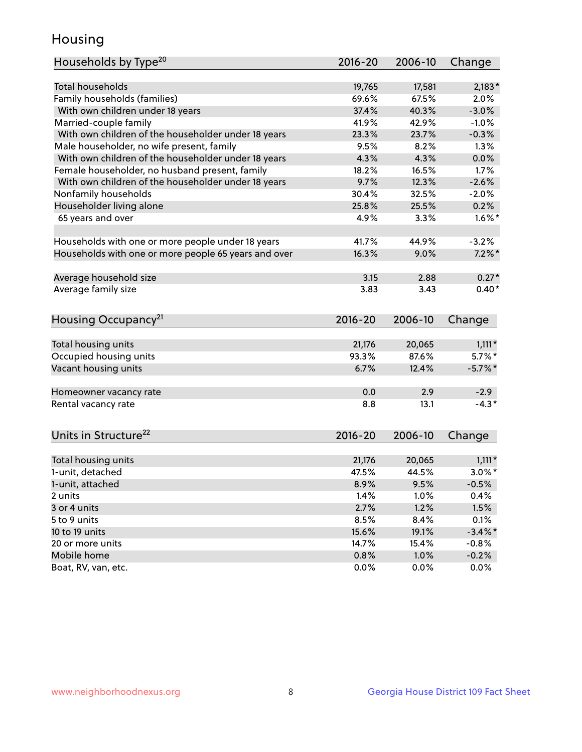## Housing

| Households by Type <sup>20</sup>                     | 2016-20     | 2006-10 | Change     |
|------------------------------------------------------|-------------|---------|------------|
|                                                      |             |         |            |
| <b>Total households</b>                              | 19,765      | 17,581  | $2,183*$   |
| Family households (families)                         | 69.6%       | 67.5%   | 2.0%       |
| With own children under 18 years                     | 37.4%       | 40.3%   | $-3.0%$    |
| Married-couple family                                | 41.9%       | 42.9%   | $-1.0%$    |
| With own children of the householder under 18 years  | 23.3%       | 23.7%   | $-0.3%$    |
| Male householder, no wife present, family            | 9.5%        | 8.2%    | 1.3%       |
| With own children of the householder under 18 years  | 4.3%        | 4.3%    | 0.0%       |
| Female householder, no husband present, family       | 18.2%       | 16.5%   | 1.7%       |
| With own children of the householder under 18 years  | 9.7%        | 12.3%   | $-2.6%$    |
| Nonfamily households                                 | 30.4%       | 32.5%   | $-2.0%$    |
| Householder living alone                             | 25.8%       | 25.5%   | 0.2%       |
| 65 years and over                                    | 4.9%        | 3.3%    | $1.6\%$ *  |
|                                                      |             |         |            |
| Households with one or more people under 18 years    | 41.7%       | 44.9%   | $-3.2%$    |
| Households with one or more people 65 years and over | 16.3%       | 9.0%    | $7.2\%$ *  |
|                                                      |             |         | $0.27*$    |
| Average household size                               | 3.15        | 2.88    |            |
| Average family size                                  | 3.83        | 3.43    | $0.40*$    |
| Housing Occupancy <sup>21</sup>                      | $2016 - 20$ | 2006-10 | Change     |
| Total housing units                                  | 21,176      | 20,065  | $1,111*$   |
| Occupied housing units                               | 93.3%       | 87.6%   | $5.7\%$ *  |
| Vacant housing units                                 | 6.7%        | 12.4%   | $-5.7\%$ * |
|                                                      |             |         |            |
| Homeowner vacancy rate                               | 0.0         | 2.9     | $-2.9$     |
| Rental vacancy rate                                  | 8.8         | 13.1    | $-4.3*$    |
| Units in Structure <sup>22</sup>                     | 2016-20     | 2006-10 | Change     |
|                                                      |             |         |            |
| Total housing units                                  | 21,176      | 20,065  | $1,111*$   |
| 1-unit, detached                                     | 47.5%       | 44.5%   | $3.0\%$ *  |
| 1-unit, attached                                     | 8.9%        | 9.5%    | $-0.5%$    |
| 2 units                                              | 1.4%        | 1.0%    | 0.4%       |
| 3 or 4 units                                         | 2.7%        | 1.2%    | 1.5%       |
| 5 to 9 units                                         | 8.5%        | 8.4%    | 0.1%       |
| 10 to 19 units                                       | 15.6%       | 19.1%   | $-3.4\%$ * |
| 20 or more units                                     | 14.7%       | 15.4%   | $-0.8%$    |
| Mobile home                                          | 0.8%        | 1.0%    | $-0.2%$    |
| Boat, RV, van, etc.                                  | 0.0%        | 0.0%    | $0.0\%$    |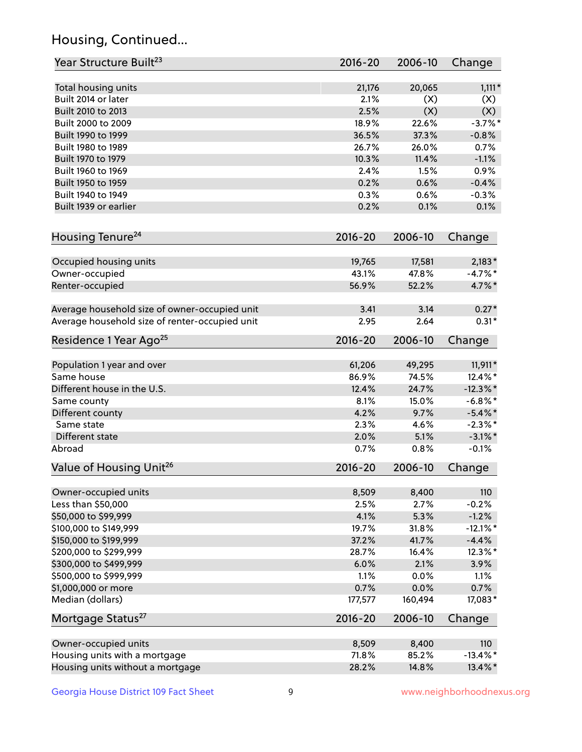## Housing, Continued...

| Year Structure Built <sup>23</sup>             | 2016-20     | 2006-10 | Change      |
|------------------------------------------------|-------------|---------|-------------|
| Total housing units                            | 21,176      | 20,065  | $1,111*$    |
| Built 2014 or later                            | 2.1%        | (X)     | (X)         |
| Built 2010 to 2013                             | 2.5%        | (X)     | (X)         |
| Built 2000 to 2009                             | 18.9%       | 22.6%   | $-3.7%$ *   |
| Built 1990 to 1999                             | 36.5%       | 37.3%   | $-0.8%$     |
| Built 1980 to 1989                             | 26.7%       | 26.0%   | 0.7%        |
| Built 1970 to 1979                             | 10.3%       | 11.4%   | $-1.1%$     |
| Built 1960 to 1969                             | 2.4%        | 1.5%    | 0.9%        |
| Built 1950 to 1959                             | 0.2%        | 0.6%    | $-0.4%$     |
| Built 1940 to 1949                             | 0.3%        | 0.6%    | $-0.3%$     |
| Built 1939 or earlier                          | 0.2%        | 0.1%    | 0.1%        |
| Housing Tenure <sup>24</sup>                   | $2016 - 20$ | 2006-10 | Change      |
| Occupied housing units                         | 19,765      | 17,581  | $2,183*$    |
| Owner-occupied                                 | 43.1%       | 47.8%   | $-4.7\%$ *  |
| Renter-occupied                                | 56.9%       | 52.2%   | 4.7%*       |
| Average household size of owner-occupied unit  | 3.41        | 3.14    | $0.27*$     |
| Average household size of renter-occupied unit | 2.95        | 2.64    | $0.31*$     |
| Residence 1 Year Ago <sup>25</sup>             | $2016 - 20$ | 2006-10 | Change      |
| Population 1 year and over                     | 61,206      | 49,295  | 11,911*     |
| Same house                                     | 86.9%       | 74.5%   | 12.4%*      |
| Different house in the U.S.                    | 12.4%       | 24.7%   | $-12.3\%$ * |
| Same county                                    | 8.1%        | 15.0%   | $-6.8\%$ *  |
| Different county                               | 4.2%        | 9.7%    | $-5.4\%$ *  |
| Same state                                     | 2.3%        | 4.6%    | $-2.3\%$ *  |
| Different state                                | 2.0%        | 5.1%    | $-3.1\%$ *  |
| Abroad                                         | 0.7%        | 0.8%    | $-0.1%$     |
| Value of Housing Unit <sup>26</sup>            | $2016 - 20$ | 2006-10 | Change      |
| Owner-occupied units                           | 8,509       | 8,400   | 110         |
| Less than \$50,000                             | 2.5%        | 2.7%    | $-0.2%$     |
| \$50,000 to \$99,999                           | 4.1%        | 5.3%    | $-1.2%$     |
| \$100,000 to \$149,999                         | 19.7%       | 31.8%   | $-12.1\%$ * |
| \$150,000 to \$199,999                         | 37.2%       | 41.7%   | $-4.4%$     |
| \$200,000 to \$299,999                         | 28.7%       | 16.4%   | 12.3%*      |
| \$300,000 to \$499,999                         | 6.0%        | 2.1%    | 3.9%        |
| \$500,000 to \$999,999                         | 1.1%        | 0.0%    | 1.1%        |
| \$1,000,000 or more                            | 0.7%        | 0.0%    | 0.7%        |
| Median (dollars)                               | 177,577     | 160,494 | 17,083*     |
| Mortgage Status <sup>27</sup>                  | $2016 - 20$ | 2006-10 | Change      |
| Owner-occupied units                           | 8,509       | 8,400   | 110         |
| Housing units with a mortgage                  | 71.8%       | 85.2%   | $-13.4\%$ * |
| Housing units without a mortgage               | 28.2%       | 14.8%   | 13.4%*      |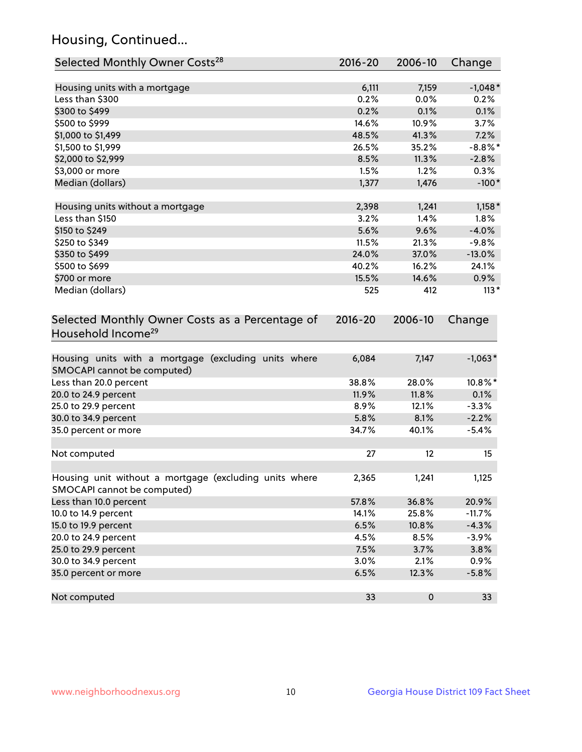## Housing, Continued...

| Selected Monthly Owner Costs <sup>28</sup>                                            | 2016-20     | 2006-10 | Change     |
|---------------------------------------------------------------------------------------|-------------|---------|------------|
| Housing units with a mortgage                                                         | 6,111       | 7,159   | $-1,048*$  |
| Less than \$300                                                                       | 0.2%        | 0.0%    | 0.2%       |
| \$300 to \$499                                                                        | 0.2%        | 0.1%    | 0.1%       |
| \$500 to \$999                                                                        | 14.6%       | 10.9%   | 3.7%       |
| \$1,000 to \$1,499                                                                    | 48.5%       | 41.3%   | 7.2%       |
| \$1,500 to \$1,999                                                                    | 26.5%       | 35.2%   | $-8.8\%$ * |
| \$2,000 to \$2,999                                                                    | 8.5%        | 11.3%   | $-2.8%$    |
| \$3,000 or more                                                                       | 1.5%        | 1.2%    | 0.3%       |
| Median (dollars)                                                                      | 1,377       | 1,476   | $-100*$    |
| Housing units without a mortgage                                                      | 2,398       | 1,241   | $1,158*$   |
| Less than \$150                                                                       | 3.2%        | 1.4%    | 1.8%       |
| \$150 to \$249                                                                        | 5.6%        | 9.6%    | $-4.0%$    |
| \$250 to \$349                                                                        | 11.5%       | 21.3%   | $-9.8%$    |
| \$350 to \$499                                                                        | 24.0%       | 37.0%   | $-13.0%$   |
| \$500 to \$699                                                                        | 40.2%       | 16.2%   | 24.1%      |
| \$700 or more                                                                         | 15.5%       | 14.6%   | 0.9%       |
| Median (dollars)                                                                      | 525         | 412     | $113*$     |
| Selected Monthly Owner Costs as a Percentage of<br>Household Income <sup>29</sup>     | $2016 - 20$ | 2006-10 | Change     |
| Housing units with a mortgage (excluding units where<br>SMOCAPI cannot be computed)   | 6,084       | 7,147   | $-1,063*$  |
| Less than 20.0 percent                                                                | 38.8%       | 28.0%   | 10.8%*     |
| 20.0 to 24.9 percent                                                                  | 11.9%       | 11.8%   | 0.1%       |
| 25.0 to 29.9 percent                                                                  | 8.9%        | 12.1%   | $-3.3%$    |
| 30.0 to 34.9 percent                                                                  | 5.8%        | 8.1%    | $-2.2%$    |
| 35.0 percent or more                                                                  | 34.7%       | 40.1%   | $-5.4%$    |
| Not computed                                                                          | 27          | 12      | 15         |
| Housing unit without a mortgage (excluding units where<br>SMOCAPI cannot be computed) | 2,365       | 1,241   | 1,125      |
| Less than 10.0 percent                                                                | 57.8%       | 36.8%   | 20.9%      |
| 10.0 to 14.9 percent                                                                  | 14.1%       | 25.8%   | $-11.7%$   |
| 15.0 to 19.9 percent                                                                  | 6.5%        | 10.8%   | $-4.3%$    |
| 20.0 to 24.9 percent                                                                  | 4.5%        | 8.5%    | $-3.9%$    |
| 25.0 to 29.9 percent                                                                  | 7.5%        | 3.7%    | 3.8%       |
| 30.0 to 34.9 percent                                                                  | 3.0%        | 2.1%    | 0.9%       |
| 35.0 percent or more                                                                  | 6.5%        | 12.3%   | $-5.8%$    |
| Not computed                                                                          | 33          | 0       | 33         |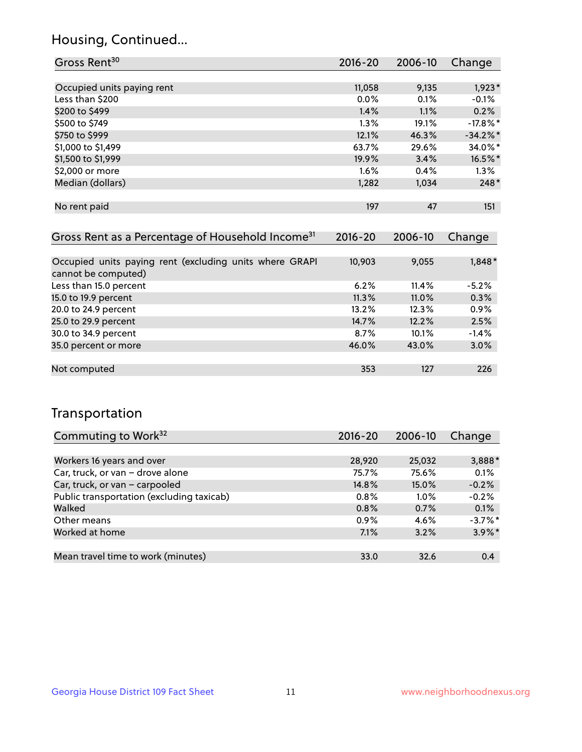## Housing, Continued...

| Gross Rent <sup>30</sup>   | 2016-20 | 2006-10 | Change      |
|----------------------------|---------|---------|-------------|
|                            |         |         |             |
| Occupied units paying rent | 11,058  | 9,135   | $1,923*$    |
| Less than \$200            | 0.0%    | 0.1%    | $-0.1%$     |
| \$200 to \$499             | 1.4%    | 1.1%    | 0.2%        |
| \$500 to \$749             | 1.3%    | 19.1%   | $-17.8\%$ * |
| \$750 to \$999             | 12.1%   | 46.3%   | $-34.2%$ *  |
| \$1,000 to \$1,499         | 63.7%   | 29.6%   | 34.0%*      |
| \$1,500 to \$1,999         | 19.9%   | 3.4%    | 16.5%*      |
| \$2,000 or more            | 1.6%    | 0.4%    | 1.3%        |
| Median (dollars)           | 1,282   | 1,034   | $248*$      |
|                            |         |         |             |
| No rent paid               | 197     | 47      | 151         |

| Gross Rent as a Percentage of Household Income <sup>31</sup>                   | $2016 - 20$ | 2006-10 | Change  |
|--------------------------------------------------------------------------------|-------------|---------|---------|
|                                                                                |             |         |         |
| Occupied units paying rent (excluding units where GRAPI<br>cannot be computed) | 10,903      | 9,055   | 1,848*  |
| Less than 15.0 percent                                                         | 6.2%        | 11.4%   | $-5.2%$ |
| 15.0 to 19.9 percent                                                           | 11.3%       | 11.0%   | 0.3%    |
| 20.0 to 24.9 percent                                                           | 13.2%       | 12.3%   | 0.9%    |
| 25.0 to 29.9 percent                                                           | 14.7%       | 12.2%   | 2.5%    |
| 30.0 to 34.9 percent                                                           | 8.7%        | 10.1%   | $-1.4%$ |
| 35.0 percent or more                                                           | 46.0%       | 43.0%   | 3.0%    |
|                                                                                |             |         |         |
| Not computed                                                                   | 353         | 127     | 226     |

## Transportation

| Commuting to Work <sup>32</sup>           | 2016-20 | 2006-10 | Change    |
|-------------------------------------------|---------|---------|-----------|
|                                           |         |         |           |
| Workers 16 years and over                 | 28,920  | 25,032  | 3,888*    |
| Car, truck, or van - drove alone          | 75.7%   | 75.6%   | 0.1%      |
| Car, truck, or van - carpooled            | 14.8%   | 15.0%   | $-0.2%$   |
| Public transportation (excluding taxicab) | $0.8\%$ | $1.0\%$ | $-0.2%$   |
| Walked                                    | 0.8%    | 0.7%    | 0.1%      |
| Other means                               | 0.9%    | 4.6%    | $-3.7%$ * |
| Worked at home                            | 7.1%    | 3.2%    | $3.9\%$ * |
|                                           |         |         |           |
| Mean travel time to work (minutes)        | 33.0    | 32.6    | 0.4       |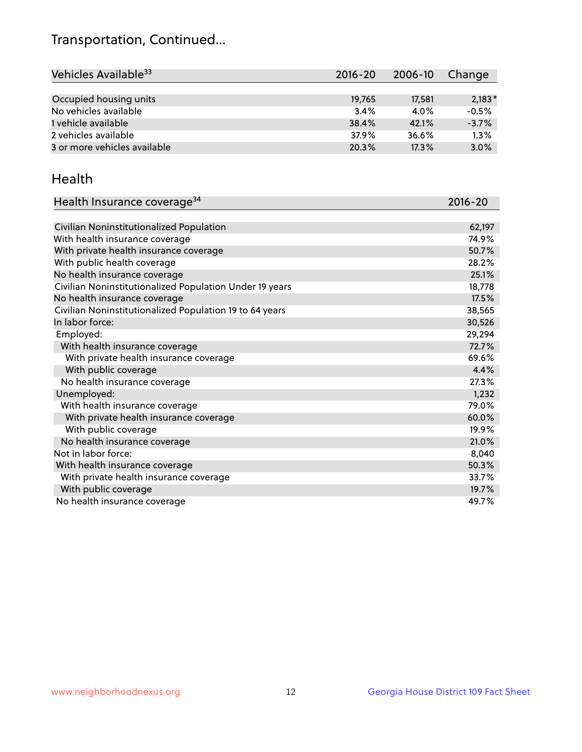## Transportation, Continued...

| Vehicles Available <sup>33</sup> | 2016-20 | 2006-10 | Change   |
|----------------------------------|---------|---------|----------|
|                                  |         |         |          |
| Occupied housing units           | 19,765  | 17,581  | $2,183*$ |
| No vehicles available            | 3.4%    | 4.0%    | $-0.5%$  |
| 1 vehicle available              | 38.4%   | 42.1%   | $-3.7%$  |
| 2 vehicles available             | 37.9%   | 36.6%   | 1.3%     |
| 3 or more vehicles available     | 20.3%   | 17.3%   | 3.0%     |

#### Health

| Health Insurance coverage <sup>34</sup>                 | 2016-20 |
|---------------------------------------------------------|---------|
|                                                         |         |
| Civilian Noninstitutionalized Population                | 62,197  |
| With health insurance coverage                          | 74.9%   |
| With private health insurance coverage                  | 50.7%   |
| With public health coverage                             | 28.2%   |
| No health insurance coverage                            | 25.1%   |
| Civilian Noninstitutionalized Population Under 19 years | 18,778  |
| No health insurance coverage                            | 17.5%   |
| Civilian Noninstitutionalized Population 19 to 64 years | 38,565  |
| In labor force:                                         | 30,526  |
| Employed:                                               | 29,294  |
| With health insurance coverage                          | 72.7%   |
| With private health insurance coverage                  | 69.6%   |
| With public coverage                                    | 4.4%    |
| No health insurance coverage                            | 27.3%   |
| Unemployed:                                             | 1,232   |
| With health insurance coverage                          | 79.0%   |
| With private health insurance coverage                  | 60.0%   |
| With public coverage                                    | 19.9%   |
| No health insurance coverage                            | 21.0%   |
| Not in labor force:                                     | 8,040   |
| With health insurance coverage                          | 50.3%   |
| With private health insurance coverage                  | 33.7%   |
| With public coverage                                    | 19.7%   |
| No health insurance coverage                            | 49.7%   |